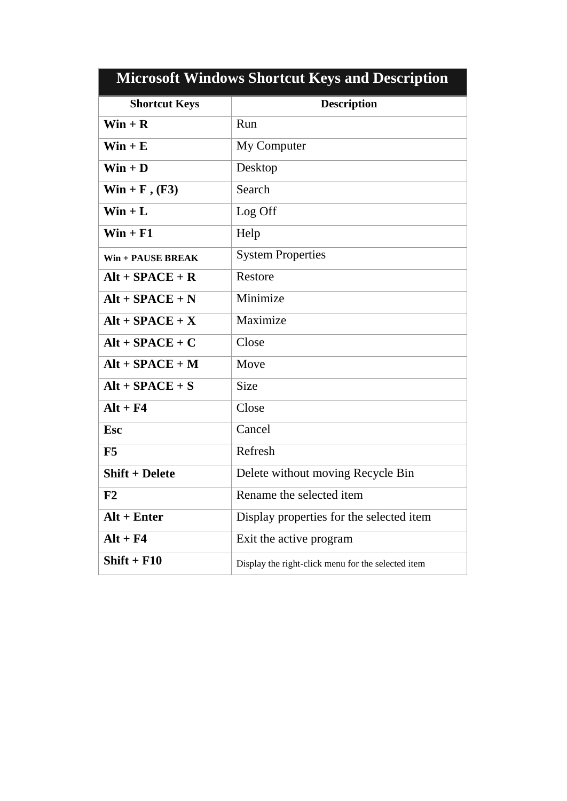| <b>Microsoft Windows Shortcut Keys and Description</b> |                                                    |  |  |
|--------------------------------------------------------|----------------------------------------------------|--|--|
| <b>Shortcut Keys</b>                                   | <b>Description</b>                                 |  |  |
| $Win + R$                                              | Run                                                |  |  |
| $\textbf{Win} + \textbf{E}$                            | My Computer                                        |  |  |
| $\textbf{Win} + \textbf{D}$                            | Desktop                                            |  |  |
| $Win + F, (F3)$                                        | Search                                             |  |  |
| $Win + L$                                              | Log Off                                            |  |  |
| $Win + F1$                                             | Help                                               |  |  |
| $Win + PAUSE BREAK$                                    | <b>System Properties</b>                           |  |  |
| $Alt + SPACE + R$                                      | Restore                                            |  |  |
| $Alt + SPACE + N$                                      | Minimize                                           |  |  |
| $Alt + SPACE + X$                                      | Maximize                                           |  |  |
| $Alt + SPACE + C$                                      | Close                                              |  |  |
| $Alt + SPACE + M$                                      | Move                                               |  |  |
| $Alt + SPACE + S$                                      | <b>Size</b>                                        |  |  |
| $Alt + F4$                                             | Close                                              |  |  |
| <b>Esc</b>                                             | Cancel                                             |  |  |
| F5                                                     | Refresh                                            |  |  |
| <b>Shift + Delete</b>                                  | Delete without moving Recycle Bin                  |  |  |
| F2                                                     | Rename the selected item                           |  |  |
| $Alt + Enter$                                          | Display properties for the selected item           |  |  |
| $Alt + F4$                                             | Exit the active program                            |  |  |
| $Shift + F10$                                          | Display the right-click menu for the selected item |  |  |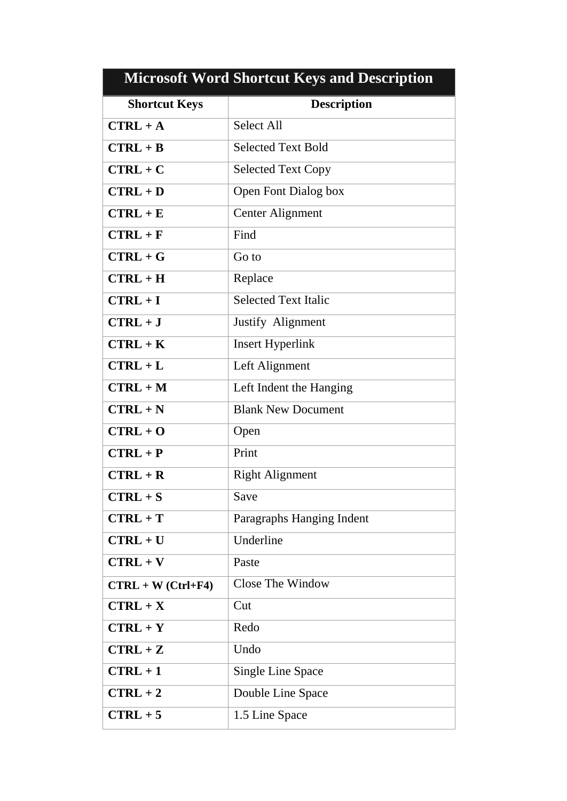| <b>Microsoft Word Shortcut Keys and Description</b> |                             |  |
|-----------------------------------------------------|-----------------------------|--|
| <b>Shortcut Keys</b>                                | <b>Description</b>          |  |
| $CTRL + A$                                          | <b>Select All</b>           |  |
| $CTRL + B$                                          | <b>Selected Text Bold</b>   |  |
| $CTRL + C$                                          | <b>Selected Text Copy</b>   |  |
| $CTRL + D$                                          | Open Font Dialog box        |  |
| $CTRL + E$                                          | <b>Center Alignment</b>     |  |
| $CTRL + F$                                          | Find                        |  |
| $CTRL + G$                                          | Go to                       |  |
| $CTRL + H$                                          | Replace                     |  |
| $CTRL + I$                                          | <b>Selected Text Italic</b> |  |
| $CTRL + J$                                          | Justify Alignment           |  |
| $CTRL + K$                                          | <b>Insert Hyperlink</b>     |  |
| $CTRL + L$                                          | Left Alignment              |  |
| $CTRL + M$                                          | Left Indent the Hanging     |  |
| $CTRL + N$                                          | <b>Blank New Document</b>   |  |
| $CTRL + O$                                          | Open                        |  |
| $CTRL + P$                                          | Print                       |  |
| $CTRL + R$                                          | <b>Right Alignment</b>      |  |
| $CTRL + S$                                          | Save                        |  |
| $CTRL + T$                                          | Paragraphs Hanging Indent   |  |
| $CTRL + U$                                          | Underline                   |  |
| $CTRL + V$                                          | Paste                       |  |
| $CTRL + W (Ctrl + F4)$                              | Close The Window            |  |
| $CTRL + X$                                          | Cut                         |  |
| $CTRL + Y$                                          | Redo                        |  |
| $CTRL + Z$                                          | Undo                        |  |
| $CTRL + 1$                                          | <b>Single Line Space</b>    |  |
| $CTRL + 2$                                          | Double Line Space           |  |
| $CTRL + 5$                                          | 1.5 Line Space              |  |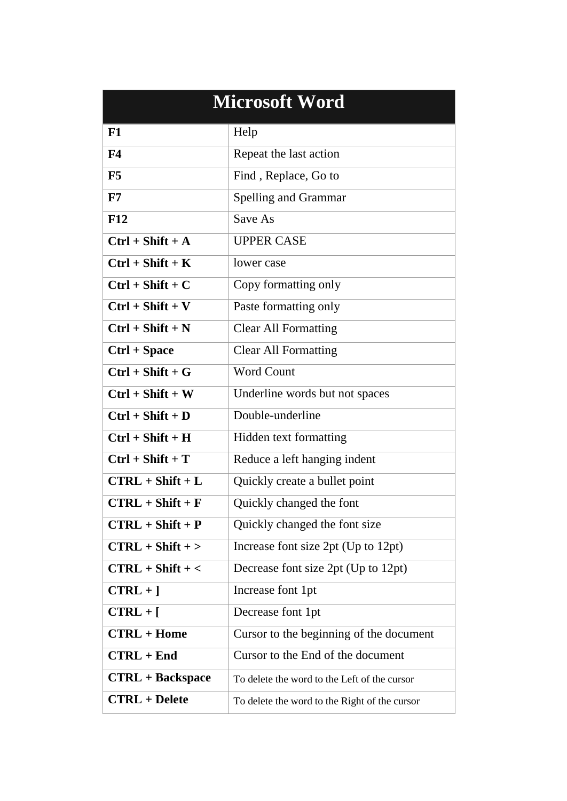| <b>Microsoft Word</b>   |                                               |  |  |
|-------------------------|-----------------------------------------------|--|--|
| F1                      | Help                                          |  |  |
| F <sub>4</sub>          | Repeat the last action                        |  |  |
| F5                      | Find, Replace, Go to                          |  |  |
| F7                      | <b>Spelling and Grammar</b>                   |  |  |
| <b>F12</b>              | Save As                                       |  |  |
| $Ctrl + Shift + A$      | <b>UPPER CASE</b>                             |  |  |
| $Ctrl + Shift + K$      | lower case                                    |  |  |
| $Ctrl + Shift + C$      | Copy formatting only                          |  |  |
| $Ctrl + Shift + V$      | Paste formatting only                         |  |  |
| $Ctrl + Shift + N$      | <b>Clear All Formatting</b>                   |  |  |
| $Ctrl + Space$          | <b>Clear All Formatting</b>                   |  |  |
| $Ctrl + Shift + G$      | <b>Word Count</b>                             |  |  |
| $Ctrl + Shift + W$      | Underline words but not spaces                |  |  |
| $Ctrl + Shift + D$      | Double-underline                              |  |  |
| $Ctrl + Shift + H$      | Hidden text formatting                        |  |  |
| $Ctrl + Shift + T$      | Reduce a left hanging indent                  |  |  |
| $CTRL + Shift + L$      | Quickly create a bullet point                 |  |  |
| $CTRL + Shift + F$      | Quickly changed the font                      |  |  |
| $CTRL + Shift + P$      | Quickly changed the font size                 |  |  |
| $CTRL + Shift + >$      | Increase font size 2pt (Up to 12pt)           |  |  |
| $CTRL + Shift + <$      | Decrease font size 2pt (Up to 12pt)           |  |  |
| $CTRL +$ ]              | Increase font 1pt                             |  |  |
| $CTRL + [$              | Decrease font 1pt                             |  |  |
| $CTRL + Home$           | Cursor to the beginning of the document       |  |  |
| $CTRL + End$            | Cursor to the End of the document             |  |  |
| <b>CTRL</b> + Backspace | To delete the word to the Left of the cursor  |  |  |
| <b>CTRL</b> + Delete    | To delete the word to the Right of the cursor |  |  |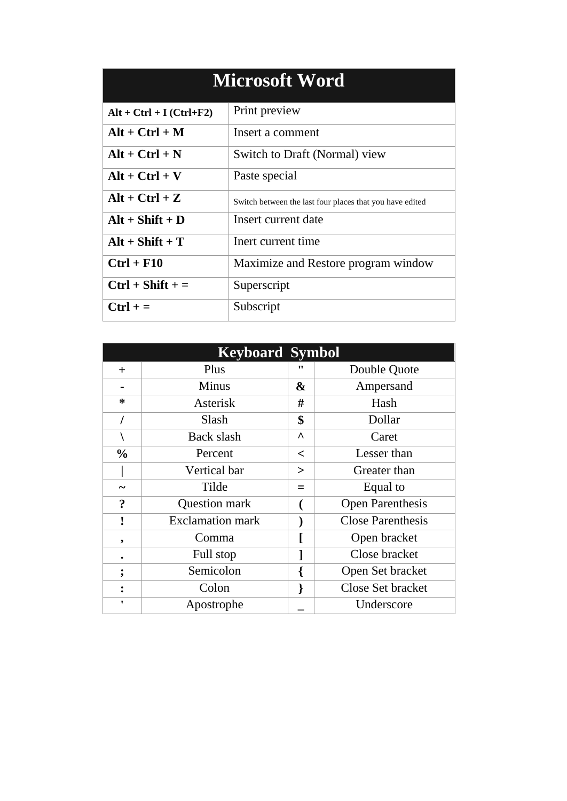| <b>Microsoft Word</b>        |                                                          |  |  |
|------------------------------|----------------------------------------------------------|--|--|
| $Alt + Ctrl + I (Ctrl + F2)$ | Print preview                                            |  |  |
| $Alt + Ctrl + M$             | Insert a comment                                         |  |  |
| $Alt + Ctrl + N$             | Switch to Draft (Normal) view                            |  |  |
| $Alt + Ctrl + V$             | Paste special                                            |  |  |
| $Alt + Ctrl + Z$             | Switch between the last four places that you have edited |  |  |
| $Alt + Shift + D$            | Insert current date                                      |  |  |
| $Alt + Shift + T$            | Inert current time                                       |  |  |
| $Ctrl + F10$                 | Maximize and Restore program window                      |  |  |
| $Ctrl + Shift +=$            | Superscript                                              |  |  |
| $Ctrl +=$                    | Subscript                                                |  |  |

| <b>Keyboard Symbol</b> |                         |           |                          |  |  |
|------------------------|-------------------------|-----------|--------------------------|--|--|
| $+$                    | Plus                    | "         | Double Quote             |  |  |
| ۰                      | <b>Minus</b>            | &         | Ampersand                |  |  |
| ∗                      | Asterisk                | #         | Hash                     |  |  |
|                        | Slash                   | \$        | Dollar                   |  |  |
|                        | Back slash              | $\lambda$ | Caret                    |  |  |
| $\frac{0}{0}$          | Percent                 | $\,<\,$   | Lesser than              |  |  |
|                        | Vertical bar            | $\geq$    | Greater than             |  |  |
| ∼                      | Tilde                   | $=$       | Equal to                 |  |  |
| $\boldsymbol{?}$       | Question mark           |           | <b>Open Parenthesis</b>  |  |  |
|                        | <b>Exclamation mark</b> |           | <b>Close Parenthesis</b> |  |  |
| ,                      | Comma                   |           | Open bracket             |  |  |
|                        | Full stop               |           | Close bracket            |  |  |
| ۰                      | Semicolon               |           | Open Set bracket         |  |  |
|                        | Colon                   | ł         | Close Set bracket        |  |  |
| ٠                      | Apostrophe              |           | Underscore               |  |  |